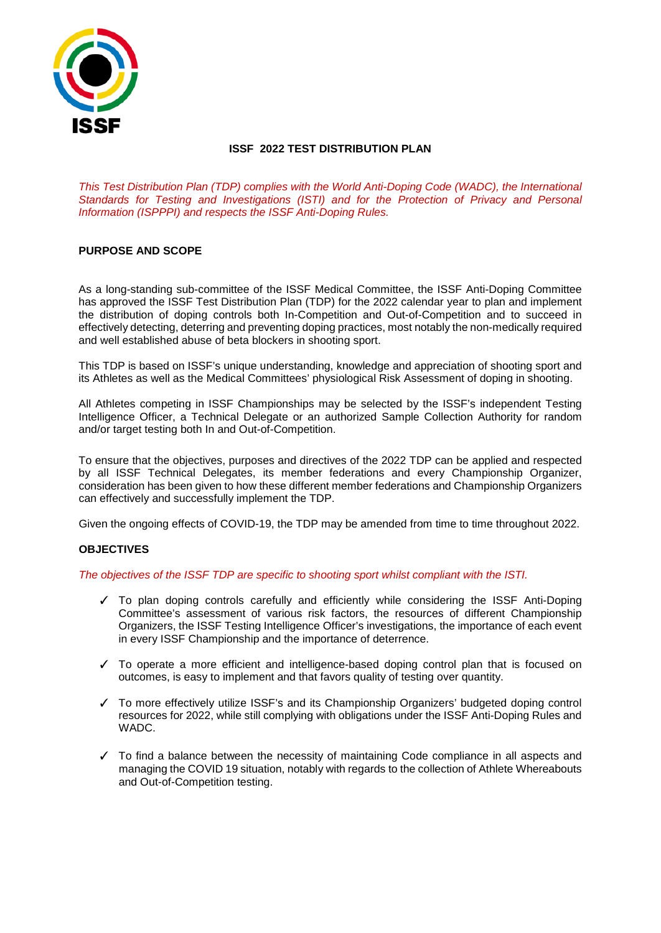

# **ISSF 2022 TEST DISTRIBUTION PLAN**

*This Test Distribution Plan (TDP) complies with the World Anti-Doping Code (WADC), the International Standards for Testing and Investigations (ISTI) and for the Protection of Privacy and Personal Information (ISPPPI) and respects the ISSF Anti-Doping Rules.*

# **PURPOSE AND SCOPE**

As a long-standing sub-committee of the ISSF Medical Committee, the ISSF Anti-Doping Committee has approved the ISSF Test Distribution Plan (TDP) for the 2022 calendar year to plan and implement the distribution of doping controls both In-Competition and Out-of-Competition and to succeed in effectively detecting, deterring and preventing doping practices, most notably the non-medically required and well established abuse of beta blockers in shooting sport.

This TDP is based on ISSF's unique understanding, knowledge and appreciation of shooting sport and its Athletes as well as the Medical Committees' physiological Risk Assessment of doping in shooting.

All Athletes competing in ISSF Championships may be selected by the ISSF's independent Testing Intelligence Officer, a Technical Delegate or an authorized Sample Collection Authority for random and/or target testing both In and Out-of-Competition.

To ensure that the objectives, purposes and directives of the 2022 TDP can be applied and respected by all ISSF Technical Delegates, its member federations and every Championship Organizer, consideration has been given to how these different member federations and Championship Organizers can effectively and successfully implement the TDP.

Given the ongoing effects of COVID-19, the TDP may be amended from time to time throughout 2022.

# **OBJECTIVES**

### *The objectives of the ISSF TDP are specific to shooting sport whilst compliant with the ISTI.*

- ✓ To plan doping controls carefully and efficiently while considering the ISSF Anti-Doping Committee's assessment of various risk factors, the resources of different Championship Organizers, the ISSF Testing Intelligence Officer's investigations, the importance of each event in every ISSF Championship and the importance of deterrence.
- ✓ To operate a more efficient and intelligence-based doping control plan that is focused on outcomes, is easy to implement and that favors quality of testing over quantity.
- ✓ To more effectively utilize ISSF's and its Championship Organizers' budgeted doping control resources for 2022, while still complying with obligations under the ISSF Anti-Doping Rules and WADC.
- ✓ To find a balance between the necessity of maintaining Code compliance in all aspects and managing the COVID 19 situation, notably with regards to the collection of Athlete Whereabouts and Out-of-Competition testing.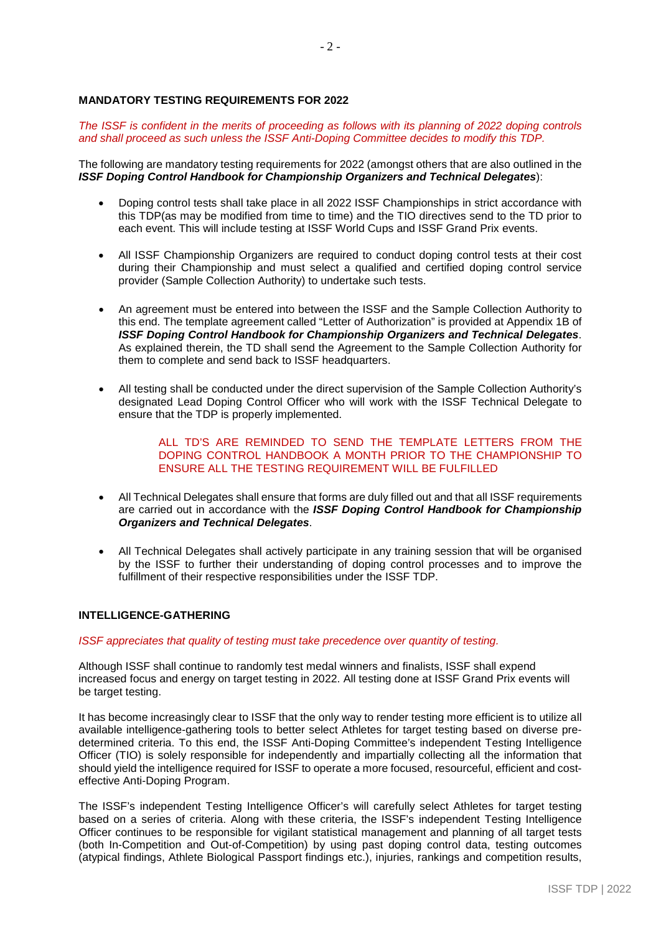### **MANDATORY TESTING REQUIREMENTS FOR 2022**

The ISSF is confident in the merits of proceeding as follows with its planning of 2022 doping controls *and shall proceed as such unless the ISSF Anti-Doping Committee decides to modify this TDP.*

The following are mandatory testing requirements for 2022 (amongst others that are also outlined in the *ISSF Doping Control Handbook for Championship Organizers and Technical Delegates*):

- Doping control tests shall take place in all 2022 ISSF Championships in strict accordance with this TDP(as may be modified from time to time) and the TIO directives send to the TD prior to each event. This will include testing at ISSF World Cups and ISSF Grand Prix events.
- All ISSF Championship Organizers are required to conduct doping control tests at their cost during their Championship and must select a qualified and certified doping control service provider (Sample Collection Authority) to undertake such tests.
- An agreement must be entered into between the ISSF and the Sample Collection Authority to this end. The template agreement called "Letter of Authorization" is provided at Appendix 1B of *ISSF Doping Control Handbook for Championship Organizers and Technical Delegates*. As explained therein, the TD shall send the Agreement to the Sample Collection Authority for them to complete and send back to ISSF headquarters.
- All testing shall be conducted under the direct supervision of the Sample Collection Authority's designated Lead Doping Control Officer who will work with the ISSF Technical Delegate to ensure that the TDP is properly implemented.

### ALL TD'S ARE REMINDED TO SEND THE TEMPLATE LETTERS FROM THE DOPING CONTROL HANDBOOK A MONTH PRIOR TO THE CHAMPIONSHIP TO ENSURE ALL THE TESTING REQUIREMENT WILL BE FULFILLED

- All Technical Delegates shall ensure that forms are duly filled out and that all ISSF requirements are carried out in accordance with the *ISSF Doping Control Handbook for Championship Organizers and Technical Delegates*.
- All Technical Delegates shall actively participate in any training session that will be organised by the ISSF to further their understanding of doping control processes and to improve the fulfillment of their respective responsibilities under the ISSF TDP.

### **INTELLIGENCE-GATHERING**

### *ISSF appreciates that quality of testing must take precedence over quantity of testing.*

Although ISSF shall continue to randomly test medal winners and finalists, ISSF shall expend increased focus and energy on target testing in 2022. All testing done at ISSF Grand Prix events will be target testing.

It has become increasingly clear to ISSF that the only way to render testing more efficient is to utilize all available intelligence-gathering tools to better select Athletes for target testing based on diverse predetermined criteria. To this end, the ISSF Anti-Doping Committee's independent Testing Intelligence Officer (TIO) is solely responsible for independently and impartially collecting all the information that should yield the intelligence required for ISSF to operate a more focused, resourceful, efficient and costeffective Anti-Doping Program.

The ISSF's independent Testing Intelligence Officer's will carefully select Athletes for target testing based on a series of criteria. Along with these criteria, the ISSF's independent Testing Intelligence Officer continues to be responsible for vigilant statistical management and planning of all target tests (both In-Competition and Out-of-Competition) by using past doping control data, testing outcomes (atypical findings, Athlete Biological Passport findings etc.), injuries, rankings and competition results,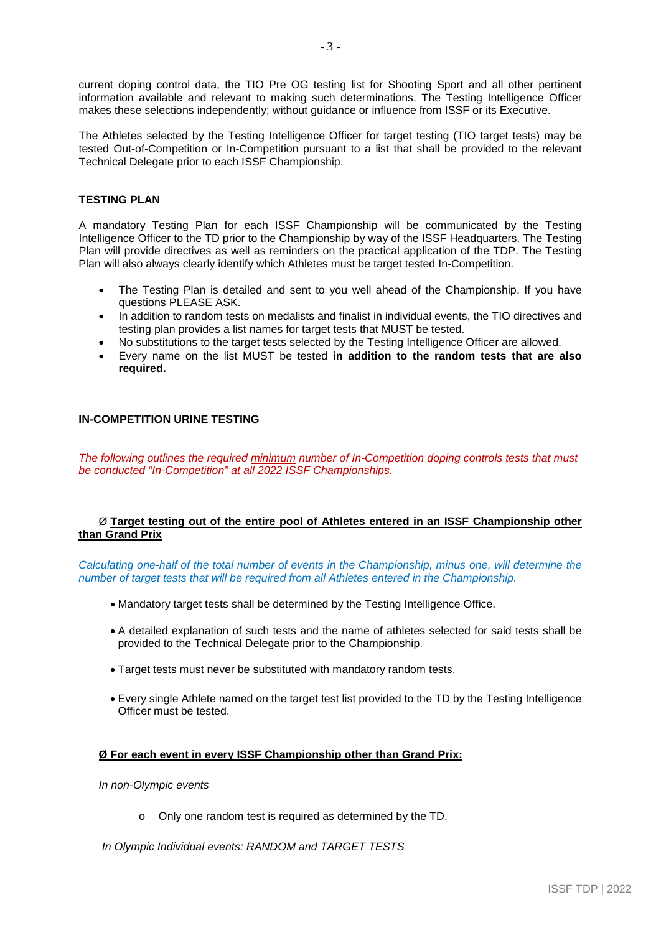current doping control data, the TIO Pre OG testing list for Shooting Sport and all other pertinent information available and relevant to making such determinations. The Testing Intelligence Officer makes these selections independently; without guidance or influence from ISSF or its Executive.

The Athletes selected by the Testing Intelligence Officer for target testing (TIO target tests) may be tested Out-of-Competition or In-Competition pursuant to a list that shall be provided to the relevant Technical Delegate prior to each ISSF Championship.

## **TESTING PLAN**

A mandatory Testing Plan for each ISSF Championship will be communicated by the Testing Intelligence Officer to the TD prior to the Championship by way of the ISSF Headquarters. The Testing Plan will provide directives as well as reminders on the practical application of the TDP. The Testing Plan will also always clearly identify which Athletes must be target tested In-Competition.

- The Testing Plan is detailed and sent to you well ahead of the Championship. If you have questions PLEASE ASK.
- In addition to random tests on medalists and finalist in individual events, the TIO directives and testing plan provides a list names for target tests that MUST be tested.
- No substitutions to the target tests selected by the Testing Intelligence Officer are allowed.
- Every name on the list MUST be tested **in addition to the random tests that are also required.**

### **IN-COMPETITION URINE TESTING**

*The following outlines the required minimum number of In-Competition doping controls tests that must be conducted "In-Competition" at all 2022 ISSF Championships.*

### Ø **Target testing out of the entire pool of Athletes entered in an ISSF Championship other than Grand Prix**

*Calculating one-half of the total number of events in the Championship, minus one, will determine the number of target tests that will be required from all Athletes entered in the Championship.*

- Mandatory target tests shall be determined by the Testing Intelligence Office.
- A detailed explanation of such tests and the name of athletes selected for said tests shall be provided to the Technical Delegate prior to the Championship.
- Target tests must never be substituted with mandatory random tests.
- Every single Athlete named on the target test list provided to the TD by the Testing Intelligence Officer must be tested.

# **Ø For each event in every ISSF Championship other than Grand Prix:**

*In non-Olympic events*

o Only one random test is required as determined by the TD.

*In Olympic Individual events: RANDOM and TARGET TESTS*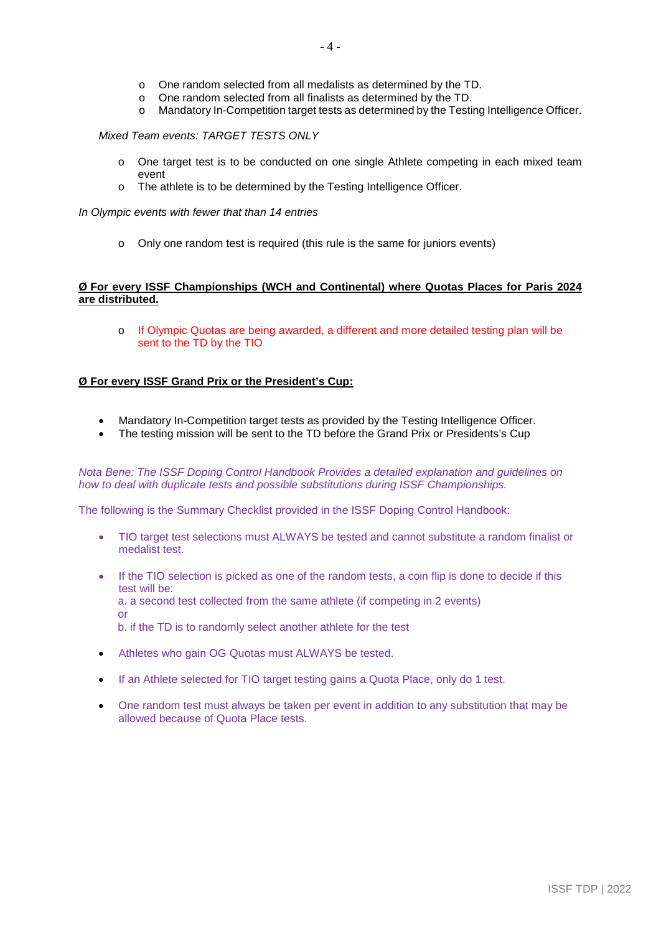- o One random selected from all medalists as determined by the TD.
- o One random selected from all finalists as determined by the TD.
- o Mandatory In-Competition target tests as determined by the Testing Intelligence Officer.

### *Mixed Team events: TARGET TESTS ONLY*

- o One target test is to be conducted on one single Athlete competing in each mixed team event
- o The athlete is to be determined by the Testing Intelligence Officer.

*In Olympic events with fewer that than 14 entries*

o Only one random test is required (this rule is the same for juniors events)

### **Ø For every ISSF Championships (WCH and Continental) where Quotas Places for Paris 2024 are distributed.**

o If Olympic Quotas are being awarded, a different and more detailed testing plan will be sent to the TD by the TIO

# **Ø For every ISSF Grand Prix or the President's Cup:**

- Mandatory In-Competition target tests as provided by the Testing Intelligence Officer.
- The testing mission will be sent to the TD before the Grand Prix or Presidents's Cup

*Nota Bene: The ISSF Doping Control Handbook Provides a detailed explanation and guidelines on how to deal with duplicate tests and possible substitutions during ISSF Championships.*

The following is the Summary Checklist provided in the ISSF Doping Control Handbook:

- TIO target test selections must ALWAYS be tested and cannot substitute a random finalist or medalist test.
- If the TIO selection is picked as one of the random tests, a coin flip is done to decide if this test will be: a. a second test collected from the same athlete (if competing in 2 events) or b. if the TD is to randomly select another athlete for the test
- Athletes who gain OG Quotas must ALWAYS be tested.
- If an Athlete selected for TIO target testing gains a Quota Place, only do 1 test.
- One random test must always be taken per event in addition to any substitution that may be allowed because of Quota Place tests.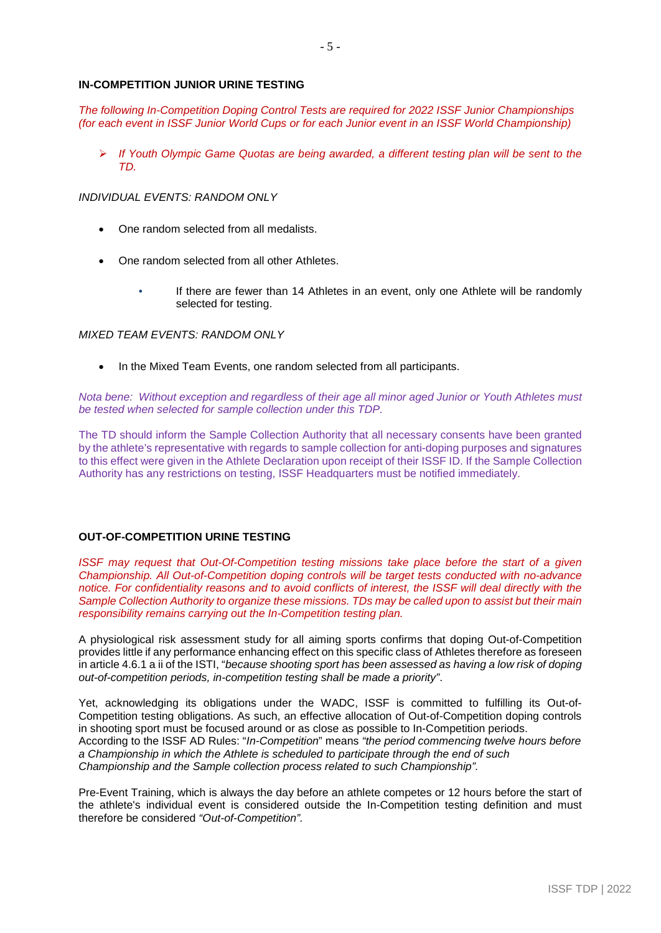### **IN-COMPETITION JUNIOR URINE TESTING**

*The following In-Competition Doping Control Tests are required for 2022 ISSF Junior Championships (for each event in ISSF Junior World Cups or for each Junior event in an ISSF World Championship)*

 *If Youth Olympic Game Quotas are being awarded, a different testing plan will be sent to the TD.*

## *INDIVIDUAL EVENTS: RANDOM ONLY*

- One random selected from all medalists.
- One random selected from all other Athletes.
	- If there are fewer than 14 Athletes in an event, only one Athlete will be randomly selected for testing.

### *MIXED TEAM EVENTS: RANDOM ONLY*

• In the Mixed Team Events, one random selected from all participants.

*Nota bene: Without exception and regardless of their age all minor aged Junior or Youth Athletes must be tested when selected for sample collection under this TDP.*

The TD should inform the Sample Collection Authority that all necessary consents have been granted by the athlete's representative with regards to sample collection for anti-doping purposes and signatures to this effect were given in the Athlete Declaration upon receipt of their ISSF ID. If the Sample Collection Authority has any restrictions on testing, ISSF Headquarters must be notified immediately.

### **OUT-OF-COMPETITION URINE TESTING**

*ISSF may request that Out-Of-Competition testing missions take place before the start of a given Championship. All Out-of-Competition doping controls will be target tests conducted with no-advance* notice. For confidentiality reasons and to avoid conflicts of interest, the ISSF will deal directly with the *Sample Collection Authority to organize these missions. TDs may be called upon to assist but their main responsibility remains carrying out the In-Competition testing plan.* 

A physiological risk assessment study for all aiming sports confirms that doping Out-of-Competition provides little if any performance enhancing effect on this specific class of Athletes therefore as foreseen in article 4.6.1 a ii of the ISTI, "*because shooting sport has been assessed as having a low risk of doping out-of-competition periods, in-competition testing shall be made a priority"*.

Yet, acknowledging its obligations under the WADC, ISSF is committed to fulfilling its Out-of-Competition testing obligations. As such, an effective allocation of Out-of-Competition doping controls in shooting sport must be focused around or as close as possible to In-Competition periods. According to the ISSF AD Rules: "*In-Competition*" means *"the period commencing twelve hours before a Championship in which the Athlete is scheduled to participate through the end of such Championship and the Sample collection process related to such Championship".*

Pre-Event Training, which is always the day before an athlete competes or 12 hours before the start of the athlete's individual event is considered outside the In-Competition testing definition and must therefore be considered *"Out-of-Competition".*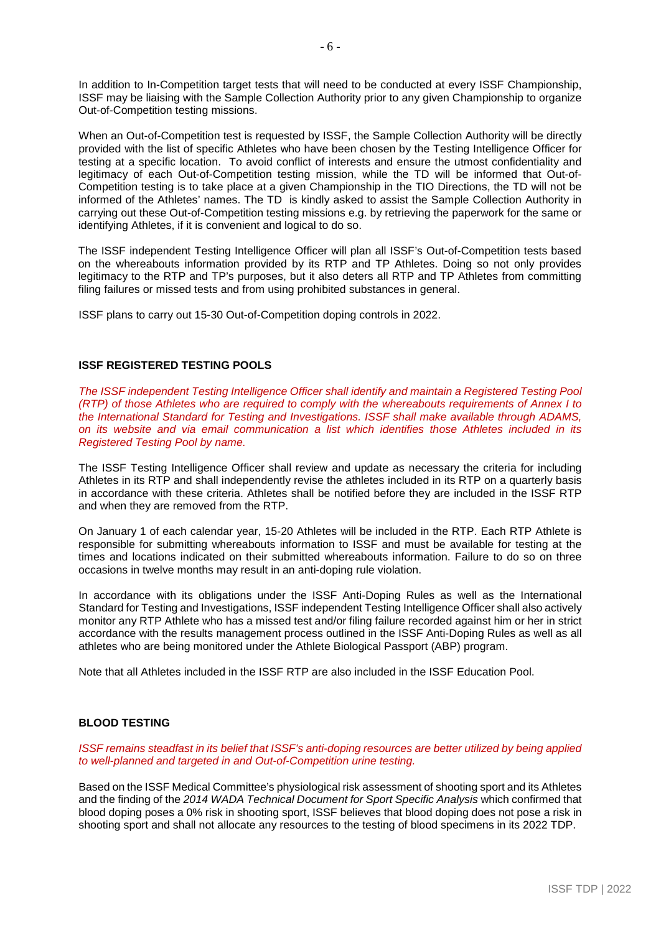In addition to In-Competition target tests that will need to be conducted at every ISSF Championship, ISSF may be liaising with the Sample Collection Authority prior to any given Championship to organize Out-of-Competition testing missions.

When an Out-of-Competition test is requested by ISSF, the Sample Collection Authority will be directly provided with the list of specific Athletes who have been chosen by the Testing Intelligence Officer for testing at a specific location. To avoid conflict of interests and ensure the utmost confidentiality and legitimacy of each Out-of-Competition testing mission, while the TD will be informed that Out-of-Competition testing is to take place at a given Championship in the TIO Directions, the TD will not be informed of the Athletes' names. The TD is kindly asked to assist the Sample Collection Authority in carrying out these Out-of-Competition testing missions e.g. by retrieving the paperwork for the same or identifying Athletes, if it is convenient and logical to do so.

The ISSF independent Testing Intelligence Officer will plan all ISSF's Out-of-Competition tests based on the whereabouts information provided by its RTP and TP Athletes. Doing so not only provides legitimacy to the RTP and TP's purposes, but it also deters all RTP and TP Athletes from committing filing failures or missed tests and from using prohibited substances in general.

ISSF plans to carry out 15-30 Out-of-Competition doping controls in 2022.

# **ISSF REGISTERED TESTING POOLS**

*The ISSF independent Testing Intelligence Officer shall identify and maintain a Registered Testing Pool (RTP) of those Athletes who are required to comply with the whereabouts requirements of Annex I to the International Standard for Testing and Investigations. ISSF shall make available through ADAMS, on its website and via email communication a list which identifies those Athletes included in its Registered Testing Pool by name.*

The ISSF Testing Intelligence Officer shall review and update as necessary the criteria for including Athletes in its RTP and shall independently revise the athletes included in its RTP on a quarterly basis in accordance with these criteria. Athletes shall be notified before they are included in the ISSF RTP and when they are removed from the RTP.

On January 1 of each calendar year, 15-20 Athletes will be included in the RTP. Each RTP Athlete is responsible for submitting whereabouts information to ISSF and must be available for testing at the times and locations indicated on their submitted whereabouts information. Failure to do so on three occasions in twelve months may result in an anti-doping rule violation.

In accordance with its obligations under the ISSF Anti-Doping Rules as well as the International Standard for Testing and Investigations, ISSF independent Testing Intelligence Officer shall also actively monitor any RTP Athlete who has a missed test and/or filing failure recorded against him or her in strict accordance with the results management process outlined in the ISSF Anti-Doping Rules as well as all athletes who are being monitored under the Athlete Biological Passport (ABP) program.

Note that all Athletes included in the ISSF RTP are also included in the ISSF Education Pool.

### **BLOOD TESTING**

*ISSF remains steadfast in its belief that ISSF's anti-doping resources are better utilized by being applied to well-planned and targeted in and Out-of-Competition urine testing.*

Based on the ISSF Medical Committee's physiological risk assessment of shooting sport and its Athletes and the finding of the *2014 WADA Technical Document for Sport Specific Analysis* which confirmed that blood doping poses a 0% risk in shooting sport, ISSF believes that blood doping does not pose a risk in shooting sport and shall not allocate any resources to the testing of blood specimens in its 2022 TDP.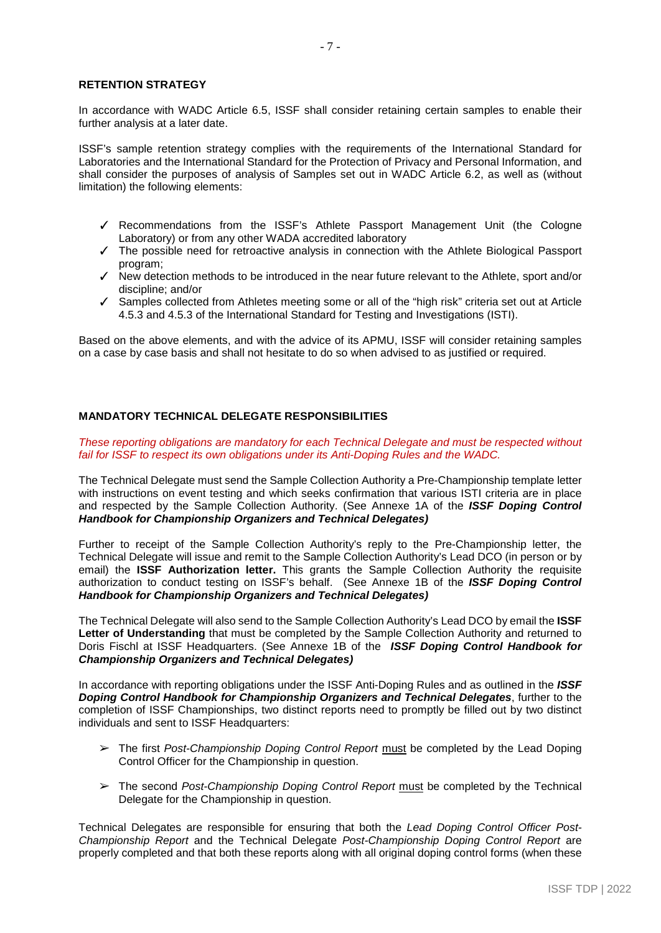#### **RETENTION STRATEGY**

In accordance with WADC Article 6.5, ISSF shall consider retaining certain samples to enable their further analysis at a later date.

ISSF's sample retention strategy complies with the requirements of the International Standard for Laboratories and the International Standard for the Protection of Privacy and Personal Information, and shall consider the purposes of analysis of Samples set out in WADC Article 6.2, as well as (without limitation) the following elements:

- ✓ Recommendations from the ISSF's Athlete Passport Management Unit (the Cologne Laboratory) or from any other WADA accredited laboratory
- ✓ The possible need for retroactive analysis in connection with the Athlete Biological Passport program;
- ✓ New detection methods to be introduced in the near future relevant to the Athlete, sport and/or discipline; and/or
- ✓ Samples collected from Athletes meeting some or all of the "high risk" criteria set out at Article 4.5.3 and 4.5.3 of the International Standard for Testing and Investigations (ISTI).

Based on the above elements, and with the advice of its APMU, ISSF will consider retaining samples on a case by case basis and shall not hesitate to do so when advised to as justified or required.

#### **MANDATORY TECHNICAL DELEGATE RESPONSIBILITIES**

*These reporting obligations are mandatory for each Technical Delegate and must be respected without fail for ISSF to respect its own obligations under its Anti-Doping Rules and the WADC.*

The Technical Delegate must send the Sample Collection Authority a Pre-Championship template letter with instructions on event testing and which seeks confirmation that various ISTI criteria are in place and respected by the Sample Collection Authority. (See Annexe 1A of the *ISSF Doping Control Handbook for Championship Organizers and Technical Delegates)*

Further to receipt of the Sample Collection Authority's reply to the Pre-Championship letter, the Technical Delegate will issue and remit to the Sample Collection Authority's Lead DCO (in person or by email) the **ISSF Authorization letter.** This grants the Sample Collection Authority the requisite authorization to conduct testing on ISSF's behalf. (See Annexe 1B of the *ISSF Doping Control Handbook for Championship Organizers and Technical Delegates)*

The Technical Delegate will also send to the Sample Collection Authority's Lead DCO by email the **ISSF Letter of Understanding** that must be completed by the Sample Collection Authority and returned to Doris Fischl at ISSF Headquarters. (See Annexe 1B of the *ISSF Doping Control Handbook for Championship Organizers and Technical Delegates)*

In accordance with reporting obligations under the ISSF Anti-Doping Rules and as outlined in the *ISSF Doping Control Handbook for Championship Organizers and Technical Delegates*, further to the completion of ISSF Championships, two distinct reports need to promptly be filled out by two distinct individuals and sent to ISSF Headquarters:

- ➢ The first *Post-Championship Doping Control Report* must be completed by the Lead Doping Control Officer for the Championship in question.
- ➢ The second *Post-Championship Doping Control Report* must be completed by the Technical Delegate for the Championship in question.

Technical Delegates are responsible for ensuring that both the *Lead Doping Control Officer Post-Championship Report* and the Technical Delegate *Post-Championship Doping Control Report* are properly completed and that both these reports along with all original doping control forms (when these